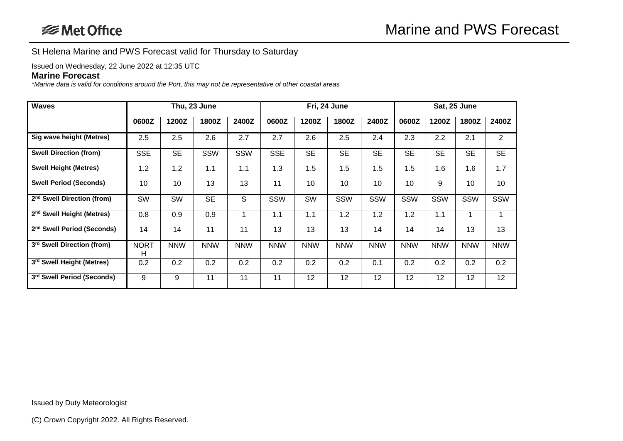St Helena Marine and PWS Forecast valid for Thursday to Saturday

Issued on Wednesday, 22 June 2022 at 12:35 UTC

## **Marine Forecast**

*\*Marine data is valid for conditions around the Port, this may not be representative of other coastal areas*

| <b>Waves</b>                           |                  | Thu, 23 June |            |            | Fri, 24 June |            |            | Sat, 25 June |            |            |            |                |
|----------------------------------------|------------------|--------------|------------|------------|--------------|------------|------------|--------------|------------|------------|------------|----------------|
|                                        | 0600Z            | 1200Z        | 1800Z      | 2400Z      | 0600Z        | 1200Z      | 1800Z      | 2400Z        | 0600Z      | 1200Z      | 1800Z      | 2400Z          |
| Sig wave height (Metres)               | 2.5              | 2.5          | 2.6        | 2.7        | 2.7          | 2.6        | 2.5        | 2.4          | 2.3        | 2.2        | 2.1        | $\overline{2}$ |
| <b>Swell Direction (from)</b>          | <b>SSE</b>       | <b>SE</b>    | SSW        | <b>SSW</b> | <b>SSE</b>   | <b>SE</b>  | <b>SE</b>  | <b>SE</b>    | <b>SE</b>  | <b>SE</b>  | <b>SE</b>  | <b>SE</b>      |
| <b>Swell Height (Metres)</b>           | 1.2              | 1.2          | 1.1        | 1.1        | 1.3          | 1.5        | 1.5        | 1.5          | 1.5        | 1.6        | 1.6        | 1.7            |
| <b>Swell Period (Seconds)</b>          | 10               | 10           | 13         | 13         | 11           | 10         | 10         | 10           | 10         | 9          | 10         | 10             |
| 2 <sup>nd</sup> Swell Direction (from) | SW               | SW           | <b>SE</b>  | S          | SSW          | SW         | SSW        | SSW          | SSW        | SSW        | SSW        | SSW            |
| 2 <sup>nd</sup> Swell Height (Metres)  | 0.8              | 0.9          | 0.9        |            | 1.1          | 1.1        | 1.2        | 1.2          | 1.2        | 1.1        |            |                |
| 2 <sup>nd</sup> Swell Period (Seconds) | 14               | 14           | 11         | 11         | 13           | 13         | 13         | 14           | 14         | 14         | 13         | 13             |
| 3rd Swell Direction (from)             | <b>NORT</b><br>н | <b>NNW</b>   | <b>NNW</b> | <b>NNW</b> | <b>NNW</b>   | <b>NNW</b> | <b>NNW</b> | <b>NNW</b>   | <b>NNW</b> | <b>NNW</b> | <b>NNW</b> | <b>NNW</b>     |
| 3rd Swell Height (Metres)              | 0.2              | 0.2          | 0.2        | 0.2        | 0.2          | 0.2        | 0.2        | 0.1          | 0.2        | 0.2        | 0.2        | 0.2            |
| 3rd Swell Period (Seconds)             | 9                | 9            | 11         | 11         | 11           | 12         | 12         | 12           | 12         | 12         | 12         | 12             |